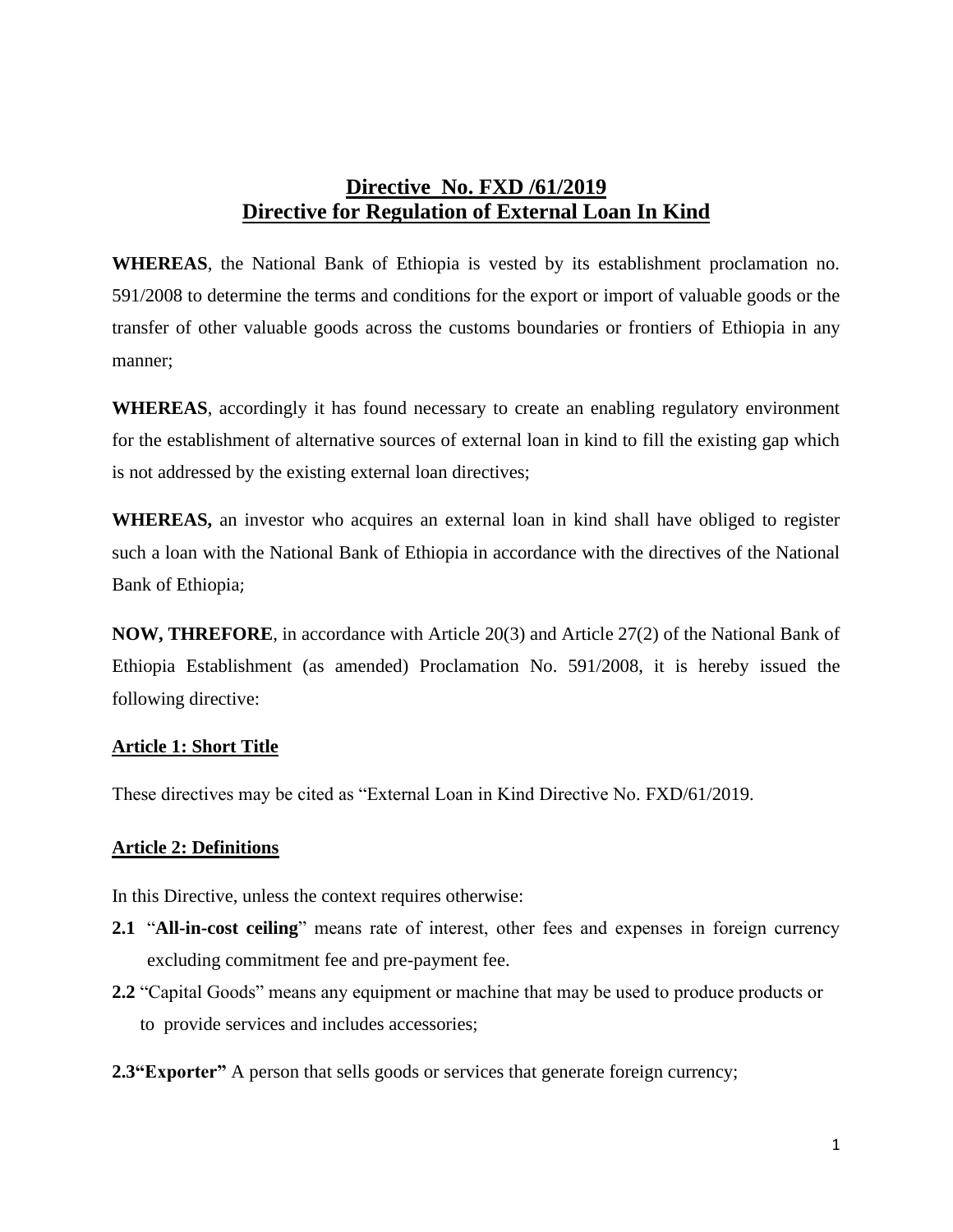# **Directive No. FXD /61/2019 Directive for Regulation of External Loan In Kind**

**WHEREAS**, the National Bank of Ethiopia is vested by its establishment proclamation no. 591/2008 to determine the terms and conditions for the export or import of valuable goods or the transfer of other valuable goods across the customs boundaries or frontiers of Ethiopia in any manner;

**WHEREAS**, accordingly it has found necessary to create an enabling regulatory environment for the establishment of alternative sources of external loan in kind to fill the existing gap which is not addressed by the existing external loan directives;

**WHEREAS,** an investor who acquires an external loan in kind shall have obliged to register such a loan with the National Bank of Ethiopia in accordance with the directives of the National Bank of Ethiopia;

**NOW, THREFORE**, in accordance with Article 20(3) and Article 27(2) of the National Bank of Ethiopia Establishment (as amended) Proclamation No. 591/2008, it is hereby issued the following directive:

### **Article 1: Short Title**

These directives may be cited as "External Loan in Kind Directive No. FXD/61/2019.

### **Article 2: Definitions**

In this Directive, unless the context requires otherwise:

- **2.1** "**All-in-cost ceiling**" means rate of interest, other fees and expenses in foreign currency excluding commitment fee and pre-payment fee.
- **2.2** "Capital Goods" means any equipment or machine that may be used to produce products or to provide services and includes accessories;
- **2.3"Exporter"** A person that sells goods or services that generate foreign currency;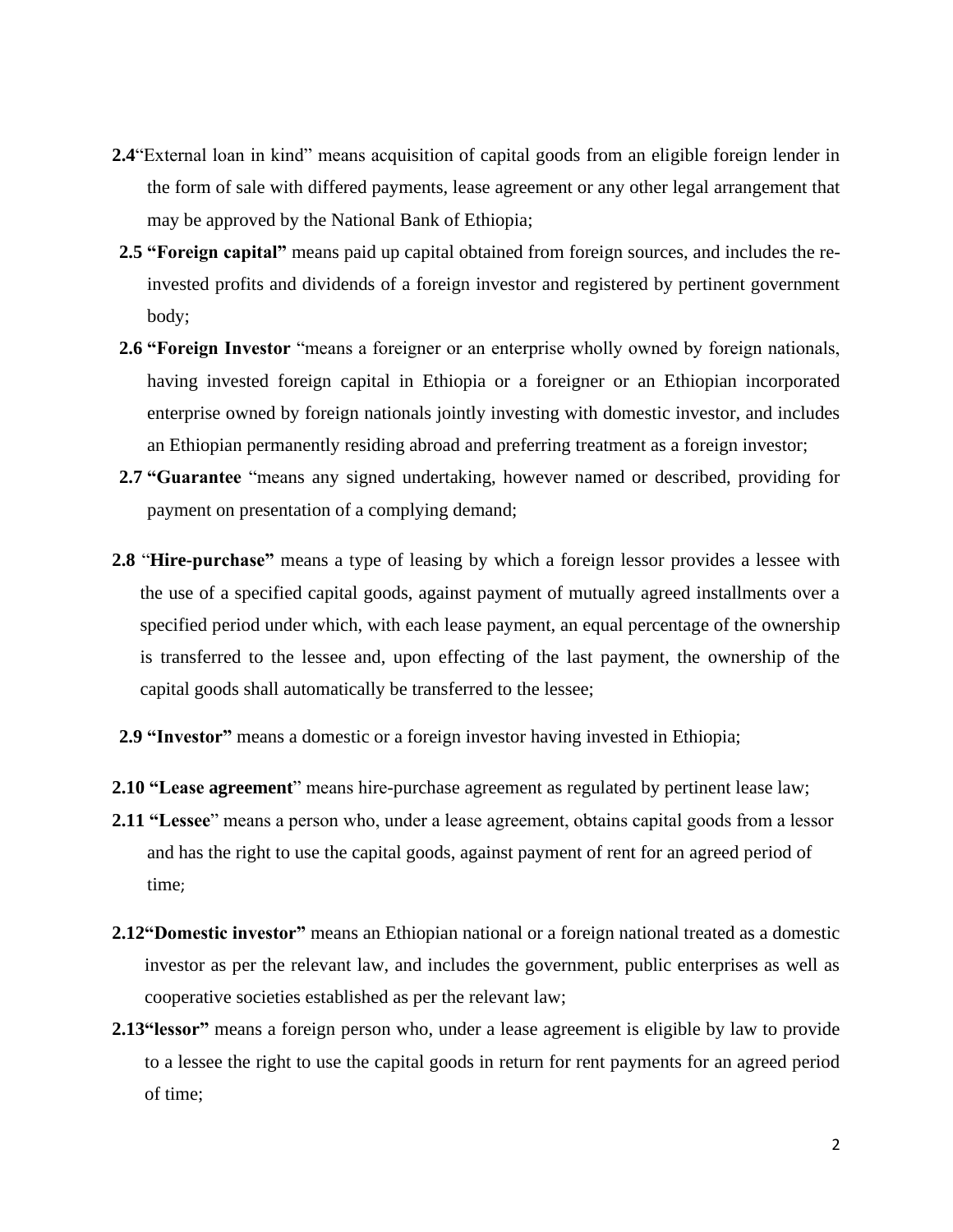- **2.4**"External loan in kind" means acquisition of capital goods from an eligible foreign lender in the form of sale with differed payments, lease agreement or any other legal arrangement that may be approved by the National Bank of Ethiopia;
- **2.5 "Foreign capital"** means paid up capital obtained from foreign sources, and includes the reinvested profits and dividends of a foreign investor and registered by pertinent government body;
- **2.6 "Foreign Investor** "means a foreigner or an enterprise wholly owned by foreign nationals, having invested foreign capital in Ethiopia or a foreigner or an Ethiopian incorporated enterprise owned by foreign nationals jointly investing with domestic investor, and includes an Ethiopian permanently residing abroad and preferring treatment as a foreign investor;
- **2.7 "Guarantee** "means any signed undertaking, however named or described, providing for payment on presentation of a complying demand;
- **2.8** "**Hire-purchase"** means a type of leasing by which a foreign lessor provides a lessee with the use of a specified capital goods, against payment of mutually agreed installments over a specified period under which, with each lease payment, an equal percentage of the ownership is transferred to the lessee and, upon effecting of the last payment, the ownership of the capital goods shall automatically be transferred to the lessee;
- **2.9 "Investor"** means a domestic or a foreign investor having invested in Ethiopia;
- **2.10 "Lease agreement**" means hire-purchase agreement as regulated by pertinent lease law;
- **2.11 "Lessee**" means a person who, under a lease agreement, obtains capital goods from a lessor and has the right to use the capital goods, against payment of rent for an agreed period of time;
- **2.12"Domestic investor"** means an Ethiopian national or a foreign national treated as a domestic investor as per the relevant law, and includes the government, public enterprises as well as cooperative societies established as per the relevant law;
- **2.13"lessor"** means a foreign person who, under a lease agreement is eligible by law to provide to a lessee the right to use the capital goods in return for rent payments for an agreed period of time;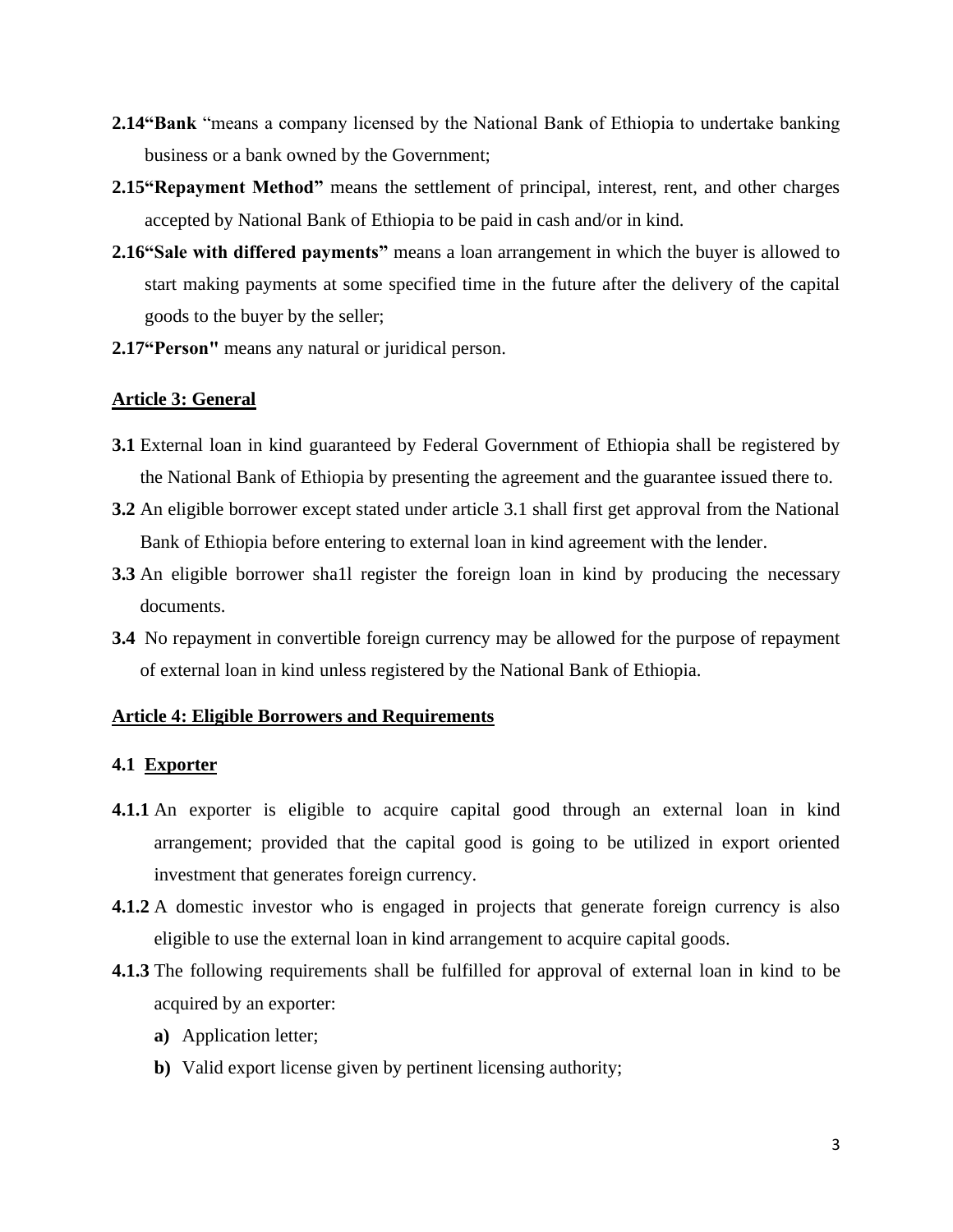- **2.14"Bank** "means a company licensed by the National Bank of Ethiopia to undertake banking business or a bank owned by the Government;
- **2.15"Repayment Method"** means the settlement of principal, interest, rent, and other charges accepted by National Bank of Ethiopia to be paid in cash and/or in kind.
- **2.16"Sale with differed payments"** means a loan arrangement in which the buyer is allowed to start making payments at some specified time in the future after the delivery of the capital goods to the buyer by the seller;
- **2.17"Person"** means any natural or juridical person.

#### **Article 3: General**

- **3.1** External loan in kind guaranteed by Federal Government of Ethiopia shall be registered by the National Bank of Ethiopia by presenting the agreement and the guarantee issued there to.
- **3.2** An eligible borrower except stated under article 3.1 shall first get approval from the National Bank of Ethiopia before entering to external loan in kind agreement with the lender.
- **3.3** An eligible borrower shall register the foreign loan in kind by producing the necessary documents.
- **3.4** No repayment in convertible foreign currency may be allowed for the purpose of repayment of external loan in kind unless registered by the National Bank of Ethiopia.

### **Article 4: Eligible Borrowers and Requirements**

### **4.1 Exporter**

- **4.1.1** An exporter is eligible to acquire capital good through an external loan in kind arrangement; provided that the capital good is going to be utilized in export oriented investment that generates foreign currency.
- **4.1.2** A domestic investor who is engaged in projects that generate foreign currency is also eligible to use the external loan in kind arrangement to acquire capital goods.
- **4.1.3** The following requirements shall be fulfilled for approval of external loan in kind to be acquired by an exporter:
	- **a)** Application letter;
	- **b)** Valid export license given by pertinent licensing authority;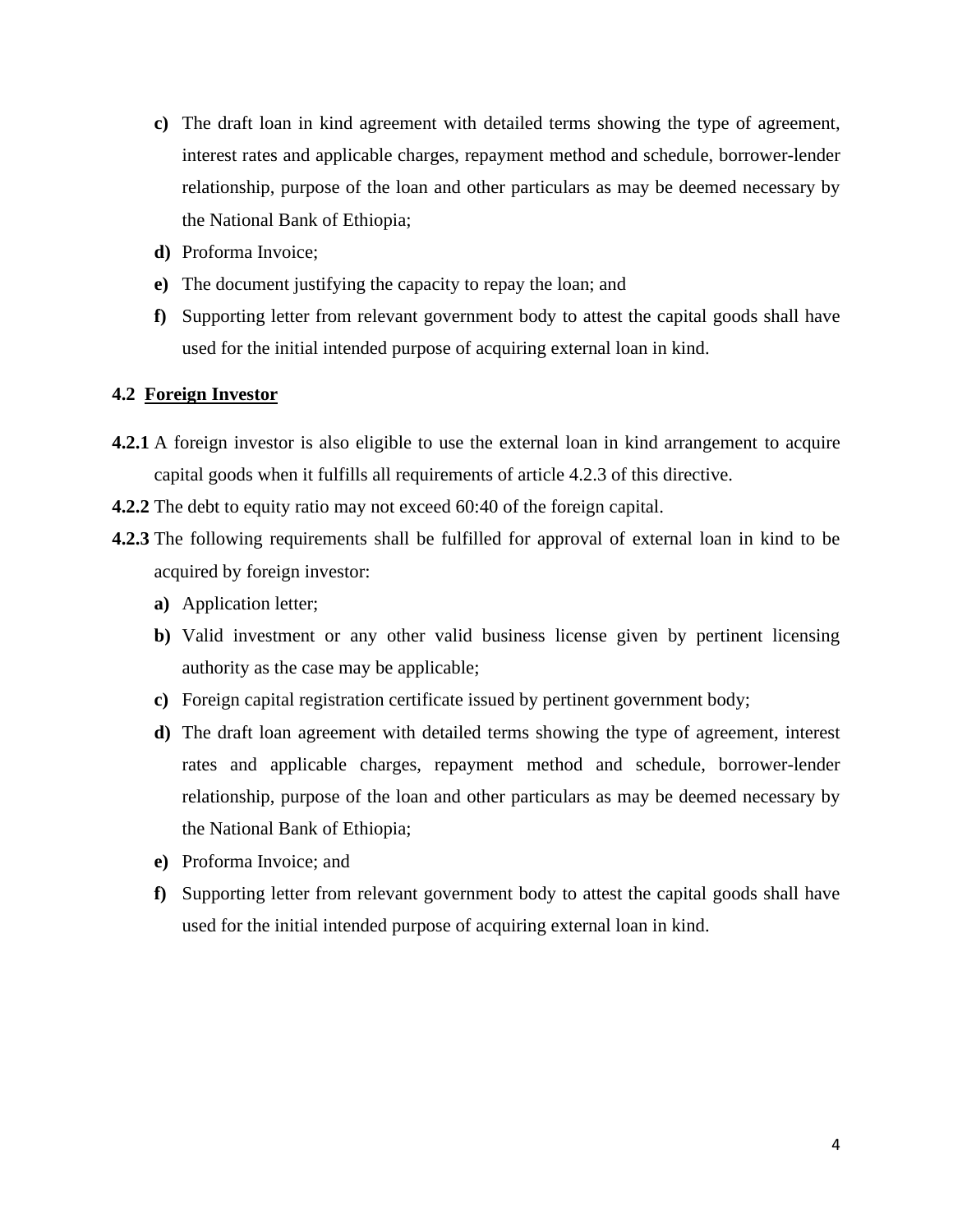- **c)** The draft loan in kind agreement with detailed terms showing the type of agreement, interest rates and applicable charges, repayment method and schedule, borrower-lender relationship, purpose of the loan and other particulars as may be deemed necessary by the National Bank of Ethiopia;
- **d)** Proforma Invoice;
- **e)** The document justifying the capacity to repay the loan; and
- **f)** Supporting letter from relevant government body to attest the capital goods shall have used for the initial intended purpose of acquiring external loan in kind.

# **4.2 Foreign Investor**

- **4.2.1** A foreign investor is also eligible to use the external loan in kind arrangement to acquire capital goods when it fulfills all requirements of article 4.2.3 of this directive.
- **4.2.2** The debt to equity ratio may not exceed 60:40 of the foreign capital.
- **4.2.3** The following requirements shall be fulfilled for approval of external loan in kind to be acquired by foreign investor:
	- **a)** Application letter;
	- **b**) Valid investment or any other valid business license given by pertinent licensing authority as the case may be applicable;
	- **c)** Foreign capital registration certificate issued by pertinent government body;
	- **d)** The draft loan agreement with detailed terms showing the type of agreement, interest rates and applicable charges, repayment method and schedule, borrower-lender relationship, purpose of the loan and other particulars as may be deemed necessary by the National Bank of Ethiopia;
	- **e)** Proforma Invoice; and
	- **f)** Supporting letter from relevant government body to attest the capital goods shall have used for the initial intended purpose of acquiring external loan in kind.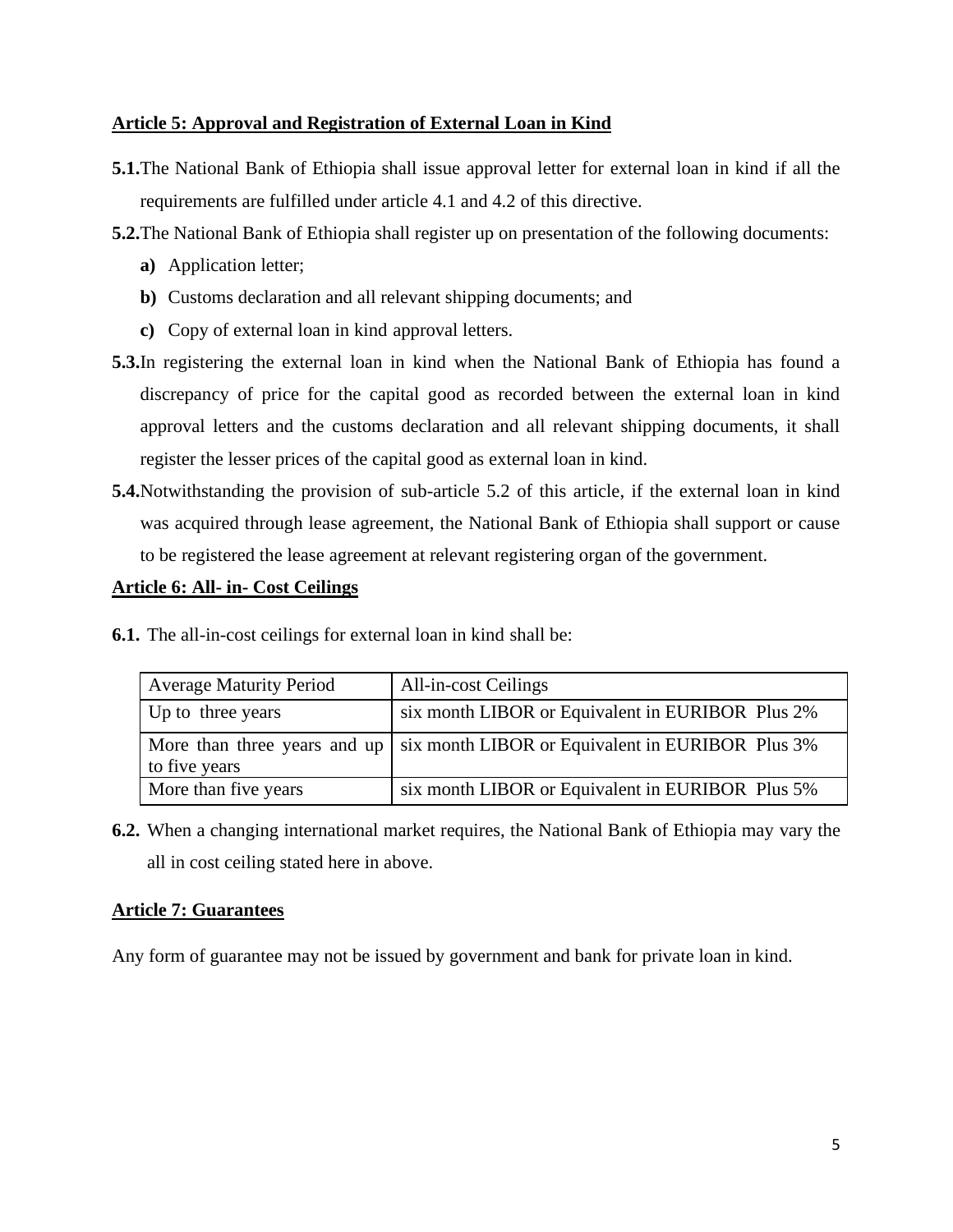# **Article 5: Approval and Registration of External Loan in Kind**

- **5.1.**The National Bank of Ethiopia shall issue approval letter for external loan in kind if all the requirements are fulfilled under article 4.1 and 4.2 of this directive.
- **5.2.**The National Bank of Ethiopia shall register up on presentation of the following documents:
	- **a)** Application letter;
	- **b)** Customs declaration and all relevant shipping documents; and
	- **c)** Copy of external loan in kind approval letters.
- **5.3.**In registering the external loan in kind when the National Bank of Ethiopia has found a discrepancy of price for the capital good as recorded between the external loan in kind approval letters and the customs declaration and all relevant shipping documents, it shall register the lesser prices of the capital good as external loan in kind.
- **5.4.**Notwithstanding the provision of sub-article 5.2 of this article, if the external loan in kind was acquired through lease agreement, the National Bank of Ethiopia shall support or cause to be registered the lease agreement at relevant registering organ of the government.

### **Article 6: All- in- Cost Ceilings**

**6.1.** The all-in-cost ceilings for external loan in kind shall be:

| <b>Average Maturity Period</b> | All-in-cost Ceilings                                                                  |
|--------------------------------|---------------------------------------------------------------------------------------|
| Up to three years              | six month LIBOR or Equivalent in EURIBOR Plus 2%                                      |
| to five years                  | More than three years and up $\vert$ six month LIBOR or Equivalent in EURIBOR Plus 3% |
| More than five years           | six month LIBOR or Equivalent in EURIBOR Plus 5%                                      |

**6.2.** When a changing international market requires, the National Bank of Ethiopia may vary the all in cost ceiling stated here in above.

# **Article 7: Guarantees**

Any form of guarantee may not be issued by government and bank for private loan in kind.